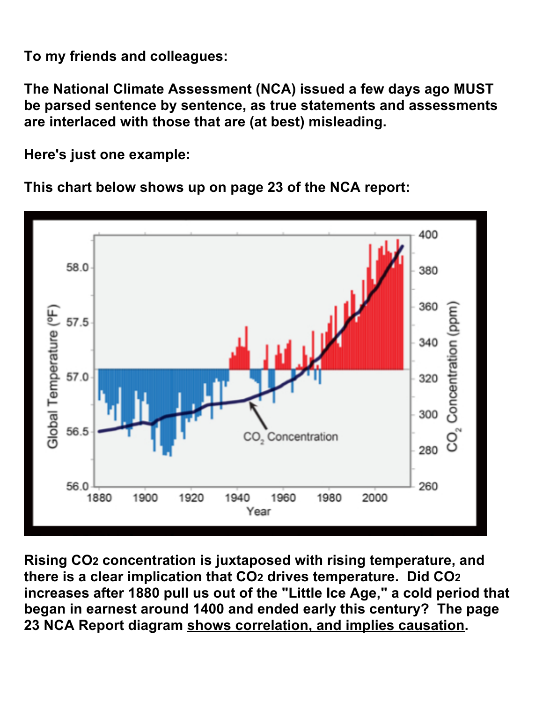**To my friends and colleagues:**

**The National Climate Assessment (NCA) issued a few days ago MUST be parsed sentence by sentence, as true statements and assessments are interlaced with those that are (at best) misleading.**

**Here's just one example:**

**This chart below shows up on page 23 of the NCA report:**



**Rising CO2 concentration is juxtaposed with rising temperature, and there is a clear implication that CO2 drives temperature. Did CO2 increases after 1880 pull us out of the "Little Ice Age," a cold period that began in earnest around 1400 and ended early this century? The page 23 NCA Report diagram shows correlation, and implies causation.**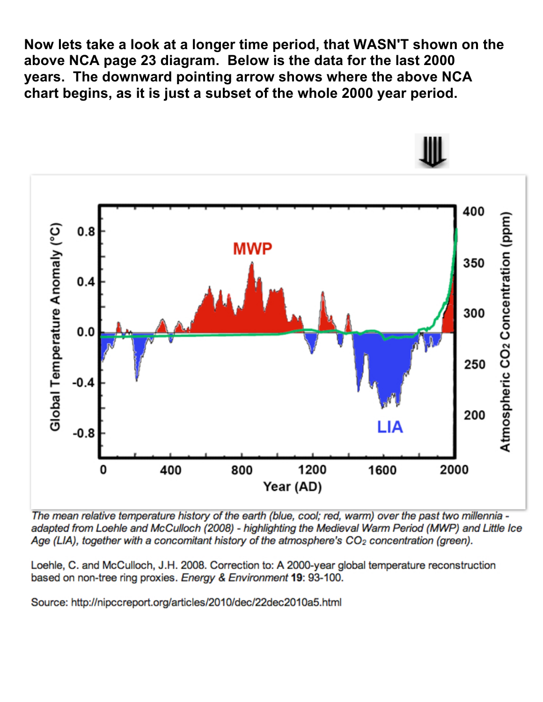**Now lets take a look at a longer time period, that WASN'T shown on the above NCA page 23 diagram. Below is the data for the last 2000 years. The downward pointing arrow shows where the above NCA chart begins, as it is just a subset of the whole 2000 year period.**



- The mean relative temperature history of the earth (blue, cool; red, warm) over the past two millennia adapted from Loehle and McCulloch (2008) - highlighting the Medieval Warm Period (MWP) and Little Ice Age (LIA), together with a concomitant history of the atmosphere's  $CO<sub>2</sub>$  concentration (green).

Loehle, C. and McCulloch, J.H. 2008. Correction to: A 2000-year global temperature reconstruction based on non-tree ring proxies. Energy & Environment 19: 93-100.

Source: http://nipccreport.org/articles/2010/dec/22dec2010a5.html